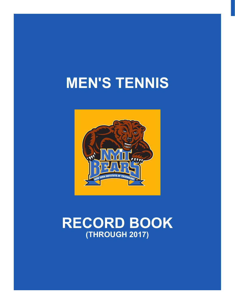# **MEN'S TENNIS**



# **RECORD BOOK (THROUGH 2017)**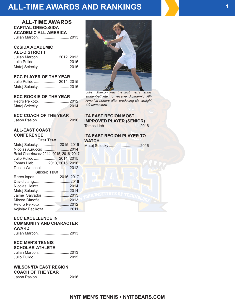## **ALL-TIME AWARDS AND RANKINGS**

## **ALL-TIME AWARDS CAPITAL ONE/CoSIDA ACADEMIC ALL-AMERICA**

Julian Marcon .............................2013

#### **CoSIDA ACADEMIC ALL-DISTRICT I**

| Julian Marcon  2012, 2013 |  |
|---------------------------|--|
|                           |  |
| Matej Selecky  2015       |  |

## **ECC PLAYER OF THE YEAR**

| Julio Pulido  2014, 2015 |  |
|--------------------------|--|
| Matej Selecky  2016      |  |

## **ECC ROOKIE OF THE YEAR**

| Pedro Peixoto  2012 |  |
|---------------------|--|
|                     |  |

## **ECC COACH OF THE YEAR**

| Jason Pasion2016 |  |  |
|------------------|--|--|
|                  |  |  |

## **ALL-EAST COAST CONFERENCE**

**First Team**

| Matej Selecky 2015, 2016<br>Nicolas Auruccio 2014<br>Rafal Charkiewicz 2014, 2015, 2016, 2017<br>Julio Pulido 2014, 2015 |  |
|--------------------------------------------------------------------------------------------------------------------------|--|
| Tomas Lieb.  2013, 2015, 2016                                                                                            |  |
|                                                                                                                          |  |
| <b>SECOND TEAM</b>                                                                                                       |  |
| Rares Ispas 2016, 2017                                                                                                   |  |
|                                                                                                                          |  |
|                                                                                                                          |  |
|                                                                                                                          |  |
|                                                                                                                          |  |
|                                                                                                                          |  |
|                                                                                                                          |  |
| Vojislav Pecikoza 2011                                                                                                   |  |
|                                                                                                                          |  |

## **ECC EXCELLENCE IN COMMUNITY AND CHARACTER AWARD**

## **ECC MEN'S TENNIS SCHOLAR-ATHLETE**

| Julian Marcon  2013 |  |
|---------------------|--|
|                     |  |

#### **WILSON/ITA EAST REGION COACH OF THE YEAR**

Jason Pasion..............................2016



*Julian Marcon was the first men's tennis student-athlete to receive Academic All-America honors after producing six straight 4.0 semesters.*

## **ITA EAST REGION MOST IMPROVED PLAYER (SENIOR)**

Tomas Lieb .................................2016

## **ITA EAST REGION PLAYER TO WATCH**

Matej Selecky .............................2016

## **1**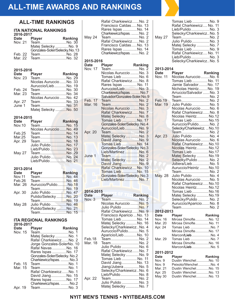# **ALL-TIME AWARDS AND RANKINGS**

## **ALL-TIME RANKINGS**

#### **ITA NATIONAL RANKINGS 2016-2017**

| Date    | <b>Player</b>                | Ranking |
|---------|------------------------------|---------|
| Nov. 21 | TeamNo. 30                   |         |
|         | Matej Selecky  No. 9         |         |
|         | Gonzales-Soler/Selecky.No.13 |         |
|         | Feb. 22 TeamNo. 28           |         |
|         | Mar. 22 TeamNo. 32           |         |

### **2015-2016**

| Date Player | <b>Example 18</b> Ranking |  |
|-------------|---------------------------|--|
| Nov. 23     | TeamNo. 29                |  |
|             | Nicolas Auruccio  No. 33  |  |
|             | Auruccio/LiebNo. 19       |  |
| Feb. 24     | TeamNo. 30                |  |
| Mar. 23     | TeamNo. 34                |  |
|             | Nicolas Auruccio  No. 42  |  |
| Apr. 27     | TeamNo. 33                |  |
| June 1      | TeamNo. 31                |  |
|             | Matej Selecky  No. 50     |  |

#### **2014-2015**

| <b>Date</b>   | Player<br><b>Example 19 Ranking</b> |  |
|---------------|-------------------------------------|--|
| <b>Nov.10</b> | TeamNo. 15                          |  |
|               | Nicolas Auruccio  No. 49            |  |
| Feb.25        | TeamNo. 14                          |  |
| Mar.25        | TeamNo. 13                          |  |
| Apr. 29       | TeamNo. 18                          |  |
|               | Julio Pulido  No. 17                |  |
|               | Lieb/PulidoNo. 23                   |  |
| <b>May 27</b> | TeamNo. 29                          |  |
|               | Julio Pulido  No. 24                |  |
|               | Lieb/Pulido  No. 21                 |  |

## **2013-2014**

| <b>Date</b>   | <b>Player</b>               | Ranking |
|---------------|-----------------------------|---------|
| <b>Nov.11</b> |                             |         |
| Feb.26        | TeamNo. 46                  |         |
| Mar. 26       | Auruccio/PulidoNo.18        |         |
|               | TeamINo. 19                 |         |
| Apr. 30       | <u> Julio Pulido No. 47</u> |         |
|               | Pulido/Selecky No. 20       |         |
|               | TeamNo. 19                  |         |
| <b>May 28</b> | Julio Pulido  No. 46        |         |
|               | Pulido/Selecky  No. 21      |         |
|               | TeamNo. 15                  |         |

## **ITA REGIONAL RANKINGS**

|      | 2016-2017 |   |
|------|-----------|---|
| ∩afo |           | Þ |

| Date    | Player                       | Ranking |
|---------|------------------------------|---------|
| Nov. 15 | TeamNo. 1                    |         |
|         | Matej Selecky  No. 1         |         |
|         | Rafal CharkiewiczNo. 2       |         |
|         | Jorge Gonzales-SolerNo. 10   |         |
|         | Rafal Navas  No. 16          |         |
|         | Rares Ispas  No. 17          |         |
|         | Gonzales-Soler/Selecky. No.2 |         |
|         | Charkiewicz/Ispas.  No.3     |         |
| Feb. 15 | Team No. 1                   |         |
| Mar. 15 | TeamNo. 1                    |         |
|         | Rafal CharkiewiczNo. 1       |         |
|         | David JiangNo. 15            |         |
|         | Rares Ispas  No. 17          |         |
|         | Charkiewicz/Ispas.  No.2     |         |
| Apr. 19 | TeamNo. 3                    |         |
|         |                              |         |

| Rafal Charkiewicz No. 2<br>Francisco Caldas No. 13<br>Rares Ispas  No. 14<br>Charkiewicz/Ispas.  No. 2<br>May 24<br>TeamNo. 2<br>Rafal CharkiewiczNo.<br>Francisco Caldas No. 13<br>Rares Ispas No. 14<br>Charkiewicz/Ispas.  No. 2 |         |
|-------------------------------------------------------------------------------------------------------------------------------------------------------------------------------------------------------------------------------------|---------|
| 2015-2016<br><b>Date</b>                                                                                                                                                                                                            |         |
| <b>Player</b><br>Теа́m No.<br>Nov. 17                                                                                                                                                                                               | Ranking |
| Nicolas Auruccio  No.                                                                                                                                                                                                               |         |
| Tomas Lieb No.<br>Rafal CharkiewiczNo. 8                                                                                                                                                                                            |         |
| Rares Ispas  No. 11                                                                                                                                                                                                                 |         |
| Auruccio/LiebNo. 3                                                                                                                                                                                                                  |         |
| Charkiewicz/Ispas.  No.7<br>Salvador/Gonzales-Soler.No.9                                                                                                                                                                            |         |
| Feb. 17<br>TeamNo. 2                                                                                                                                                                                                                |         |
| Mar. 16<br>TeamNo.                                                                                                                                                                                                                  | 2       |
| Nicolas Auruccio  No.<br>Rafal CharkiewiczNo.                                                                                                                                                                                       |         |
| Matej Selecky  No. 8                                                                                                                                                                                                                |         |
| Tomas Lieb  No. 17                                                                                                                                                                                                                  |         |
| Gonzales-Soler/Selecky. No.4                                                                                                                                                                                                        |         |
| Auruccio/LiebNo.<br>Apr. 20<br>TeamNo. 2                                                                                                                                                                                            |         |
| Matej Selecky  No.                                                                                                                                                                                                                  |         |
| David JiangNo.                                                                                                                                                                                                                      |         |
| Tomas Lieb  No. 14<br>Gonzales-Soler/Selecky. No.3                                                                                                                                                                                  |         |
| Lieb/MartinezNo. 6                                                                                                                                                                                                                  |         |
| TeamNo. 2<br>June 1                                                                                                                                                                                                                 |         |
|                                                                                                                                                                                                                                     |         |
| M <mark>atej Selec</mark> ky . <mark></mark> No. 2                                                                                                                                                                                  |         |
| David Jiang No. 9<br>Rafal Charkiewicz No. 10                                                                                                                                                                                       |         |
| Tomas Lieb  No. 15                                                                                                                                                                                                                  |         |
| Gonzales-Soler/Selecky. No.3                                                                                                                                                                                                        |         |
| Lieb/Martinez  No. 7                                                                                                                                                                                                                |         |
|                                                                                                                                                                                                                                     |         |
| 2014-2015<br>Player <sup>18</sup> <b>The Ranking</b><br><b>Date</b>                                                                                                                                                                 |         |
| TeamNo. 2<br>Nov. 3                                                                                                                                                                                                                 |         |
| Nicolas Auruccio  No. 5                                                                                                                                                                                                             |         |
| Julio Pulido  No. 7<br>Rafal Charkiewicz No. 9                                                                                                                                                                                      |         |
| Francisco Aparicio  No. 13                                                                                                                                                                                                          |         |
| Tomas Lieb No. 14                                                                                                                                                                                                                   |         |
| Matej Selecky  No. 16<br>Selecky/CharkiewiczNo. 4                                                                                                                                                                                   |         |
| Auruccio/PulidoNo. 5                                                                                                                                                                                                                |         |
| Aparicio/Lieb No. 10                                                                                                                                                                                                                |         |
| TeamNo. 2<br>Feb.18<br>Mar. 18<br>TeamNo. 2                                                                                                                                                                                         |         |
| Julio Pulido  No. 6                                                                                                                                                                                                                 |         |
| Rafal CharkiewiczNo. 7                                                                                                                                                                                                              |         |
| Matej Selecky  No. 9<br>Tomas Lieb  No. 11                                                                                                                                                                                          |         |
| David Jiang No. 13                                                                                                                                                                                                                  |         |
| Jiang/Jubera No.                                                                                                                                                                                                                    | 5       |
| Selecky/CharkiewiczNo. 6<br>Lieb/PulidoNo. 8                                                                                                                                                                                        |         |
| TeamNo. 2<br>Apr. 22<br>Julio Pulido  No. 3                                                                                                                                                                                         |         |

| <b>May 27</b>      | Tomas Lieb  No. 9<br>Rafal Charkiewicz No. 11<br>Lieb/Pulido  No.<br>Selecky/CharkiewiczNo.<br>TeamNo.<br>Julio Pulido  No.<br>Matej Selecky No.<br>Tomas Lieb No.<br>Rafal Charkiewicz No. 11<br>Lieb/Pulido  No.<br>Selecky/Charkiewicz No. 5 | 3<br>3<br>7<br>9<br>3 |
|--------------------|-------------------------------------------------------------------------------------------------------------------------------------------------------------------------------------------------------------------------------------------------|-----------------------|
| 2013-2014          |                                                                                                                                                                                                                                                 |                       |
| Date               | Player                                                                                                                                                                                                                                          | <b>Ranking</b>        |
| Nov. 11            | Nicolas Auruccio  No. 6                                                                                                                                                                                                                         |                       |
|                    | Tomas Lieb  No. 11                                                                                                                                                                                                                              |                       |
|                    | Jamie Salvador No. 17                                                                                                                                                                                                                           |                       |
|                    | Nicholas Heintz No. 19                                                                                                                                                                                                                          |                       |
|                    | Arruccio/Salvador No.                                                                                                                                                                                                                           | 3                     |
|                    | TeamNo.                                                                                                                                                                                                                                         |                       |
| Feb.19             | TeamNo.                                                                                                                                                                                                                                         |                       |
| Mar. 19            | Julio Pulido No.                                                                                                                                                                                                                                |                       |
|                    | Nicolas Auruccio  No. 6                                                                                                                                                                                                                         |                       |
|                    | Rafal Charkiewicz No.                                                                                                                                                                                                                           | 8                     |
|                    | Nicolas Heintz No.12                                                                                                                                                                                                                            |                       |
|                    | Tomas Lieb  No.15                                                                                                                                                                                                                               |                       |
|                    | Auruccio/PulidoNo. 2<br>Selecky/CharkiewiczNo.10                                                                                                                                                                                                |                       |
|                    | TeamNo. 2                                                                                                                                                                                                                                       |                       |
| Apr. 23            | Julio Pulido  No. 4                                                                                                                                                                                                                             |                       |
|                    | Nicolas Auruccio  No. 6                                                                                                                                                                                                                         |                       |
|                    | Rafal Charkiewicz No.10                                                                                                                                                                                                                         |                       |
|                    | Nicolas Heintz No.12                                                                                                                                                                                                                            |                       |
|                    | Tomas Lieb No.17                                                                                                                                                                                                                                |                       |
|                    | Matej Selecky  No.19                                                                                                                                                                                                                            |                       |
|                    | Selecky/Pulido No. 2                                                                                                                                                                                                                            |                       |
|                    | Jubera/LiebNo.                                                                                                                                                                                                                                  | 5                     |
|                    | Auruccio/Heintz  No.10                                                                                                                                                                                                                          |                       |
|                    | TeamNo. 2<br>Julio Pulido  No. 4                                                                                                                                                                                                                |                       |
| May. 28            | Nicolas Auruccio  No.                                                                                                                                                                                                                           | 5                     |
|                    | Rafal Charkiewicz No.10                                                                                                                                                                                                                         |                       |
|                    | Nicolas Heintz No.12                                                                                                                                                                                                                            |                       |
|                    | Tomas Lieb  No.16                                                                                                                                                                                                                               |                       |
|                    | Matej Selecky  No.19                                                                                                                                                                                                                            |                       |
|                    | Selecky/Pulido  No. 2                                                                                                                                                                                                                           |                       |
|                    | Auruccio/Aparicio No. 8                                                                                                                                                                                                                         |                       |
|                    | Team No. 2                                                                                                                                                                                                                                      |                       |
| 2012-2013          |                                                                                                                                                                                                                                                 |                       |
| Date               | <b>Player</b><br>Mircea DimofteNo. 12                                                                                                                                                                                                           | Ranking               |
| Nov. 16<br>Mar. 20 | Mircea DimofteNo. 11                                                                                                                                                                                                                            |                       |
| Apr. 24            | Tomas Lieb No. 7                                                                                                                                                                                                                                |                       |
|                    | Mircea DimofteNo. 17                                                                                                                                                                                                                            |                       |
|                    | Marcon/LiebNo. 4                                                                                                                                                                                                                                |                       |
| Mar. 29            | Tomas Lieb No. 7                                                                                                                                                                                                                                |                       |
|                    | Mircea DimofteNo. 16                                                                                                                                                                                                                            |                       |
|                    | Marcon/LiebNo. 5                                                                                                                                                                                                                                |                       |
| 2011-2012          |                                                                                                                                                                                                                                                 |                       |
| Date               | <b>Player</b>                                                                                                                                                                                                                                   | Ranking               |
| Nov. 9             | Dustin WenchelNo. 10                                                                                                                                                                                                                            |                       |
| Nov. 9             | Peixoto/WenchelNo. 4                                                                                                                                                                                                                            |                       |
| Mar. 21            | Dustin WenchelNo. 15                                                                                                                                                                                                                            |                       |
| Apr. 25            | Dustin WenchelNo. 13                                                                                                                                                                                                                            |                       |
| <b>May 30</b>      | Dustin WenchelNo. 13                                                                                                                                                                                                                            |                       |

## **NYIT MEN'S TENNIS • NYITBEARS.COM**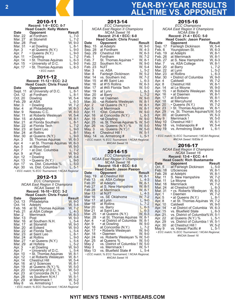## **<sup>2</sup> YEAR-BY-YEAR RESULTS ALL-TIME VS. OPPONENT**

#### 2010-11 **Record: 1-9 • ECC: 0-7 Head Coach: Kelly Waters Date Opponent Result**<br>
Mar. 22 at Fordham L, 7-0 Mar. 22 at Fordham L, 7-0 at Stonehill L, 7-2<br>Post W, 9-0 Mar. 28 Post W, 9-0<br>Mar. 31 • at Dowling L, 8-1 Mar. 31 • at Dowling L, 8-1<br>Apr. 3 • at Queens (N.Y.) L, 9-0 Apr. 3 • at Queens (N.Y.) L, 9-0<br>Apr. 7 • Queens (N.Y.) L, 9-0 Apr. 7 • Queens (N.Y.) L, 9-0 Apr. 11 • Dowling L, 7-2<br>Apr. 14 • St. Thomas Aquinas L, 6-3 Apr. 14 • St. Thomas Aquinas L, 6-3<br>Apr. 15 • University of D.C. L, 9-0 Apr. 15 • University of D.C. L, 9-0<br>Apr. 17 • St. Thomas Aquinas L, 6-3 • St. Thomas Aquinas *• ECC match* 2011-12 **Record: 11-12 • ECC: 2-2 Head Coach: Chris Frusci Date Opponent Result**<br> **Sept. 11 at University of D.C. L, 8-1** Sept. 11 at University of D.C. L, 8-1<br>Oct. 12 at Fordham L, 8-1 Oct. 12 at Fordham L, 8-1<br>Oct. 20 Dowling W, 5-4 Dowling W, 5-4<br>at ASA L, 6-3 Feb. 29 at ASA L, 6-3<br>Mar. 3 • Dowling W, 7-2 Mar. 3 • Dowling (W, 7-2<br>Mar. 4 at Philadelphia (W, 6-3) Mar. 4 at Philadelphia W, 6-3<br>Mar. 9 Nassau C.C. W, 8-0 Mar. 9 Nassau C.C.<br>Mar. 11 at Roberts Wesleyan W, 5-4 Mar. 11 at Roberts Wesleyan W, 5-4<br>Mar. 15 at Adelphi W, 8-1 Mar. 15 at Adelphi W, 8-1<br>Mar. 21 at Florida Southern L, 8-1 Mar. 21 at Florida Southern L, 8-1<br>Mar. 22 at Florida Tech L, 7-2 Mar. 22 at Florida Tech L, 7-2<br>Mar. 23 at Saint Leo L, 9-0 Mar. 23 at Saint Leo L, 9-0<br>Mar. 24 at Rollins L, 8-1 Mar. 24 at Rollins  $\begin{array}{ccc} \text{Mar. 30} & \text{at Queens (N.Y.)} \\ \text{Mar. 30} & \text{at Queens (N.Y.)} \\ \end{array}$  L, 9-0 Mar. 30 at Queens (N.Y.) L, 9-0<br>Apr. 3 St. Thomas Aquinas W, 6-3 Apr. 3 St. Thomas Aquinas<br>Apr. 4 • at St. Thomas Aqui Apr. 4 • at St. Thomas Aquinas W, 6-3<br>Apr. 5 at Bloomfield W, 9-0 Apr. 5 at Bloomfield W, 9-0<br>Apr. 7 • at Dist. Columbia L, 7-2 Apr. 7 • at Dist. Columbia L, 7-2 Apr. 9 at Post W, 9-0<br>Apr. 12 Dowling W, 5-4 Apr. 12 • Dowling W, 5-4<br>
Apr. 13 • Queens (N.Y.) L, 9-0<br>
Apr. 17 vs. Dist. Columbia % L, 5-0 Apr. 13 • Queens (N.Y.)<br>Apr. 17 vs. Dist. Columb Apr. 17 vs. Dist. Columbia % L, 5-0<br>Apr. 30 vs. Dist. Columbia ! L, 5-1 vs. Dist. Columbia ! *• ECC match; % ECC Tournament; ! NCAA Regional*

#### **2012-13** *ECC Champions*

|                               | LUU Unampiuno                                  |                  |  |
|-------------------------------|------------------------------------------------|------------------|--|
| NCAA East Region II Champions |                                                |                  |  |
| NCAA Sweet 16                 |                                                |                  |  |
| Record: 16-10 • ECC: 3-2      |                                                |                  |  |
|                               | <b>Head Coach: Chris Frusci</b>                |                  |  |
| Date                          | <b>Opponent</b>                                | Result           |  |
| Oct. 13                       | Philadelphia                                   | W. 9-0           |  |
| Oct. 14                       |                                                | W, 5-4           |  |
| Feb. 16                       | Adelphi<br>at St. Thomas Aquinas               | W, 7-2           |  |
| Feb. 21                       | at ASA College                                 | $L, 4-3$         |  |
| Mar. 2                        | Merrimack                                      | W, 6-3           |  |
| Mar. 13                       | Post                                           | W, 9-0           |  |
| Mar. 16                       | at Southern N.H.                               | L, 5-4           |  |
| Mar. 17                       | at Stonehill                                   | W, 9-0           |  |
| Mar. 20                       | at Eckerd                                      | W, 9-0           |  |
| Mar. 22                       | at Florida Tech                                | L, 5-4           |  |
| Mar. 23                       | at Saint Leo                                   | L, 8-1           |  |
| Mar. 24                       | at Rollins                                     | L, 9-0           |  |
| Mar. 27                       | • at Queens (N.Y.)                             | L, 5-4           |  |
| Mar. 29                       | at Hofstra                                     | L, 5-2           |  |
| Apr. 3                        | • at Dowling                                   | W, 9-0           |  |
| Apr. 7                        | $\bullet$ University of D.C.                   | L, 5-4           |  |
| Apr. 10                       | · St. Thomas Aquinas                           | W, 8-1           |  |
| Apr. 12                       | • at Roberts Wesleyan                          | W, 8-1           |  |
| Apr. 14                       | Chestnut Hill                                  | W, 5-4           |  |
| Apr. 16                       | at U Sciences                                  | W, 8-1           |  |
| Apr. 19                       | at Queens (N.Y.) %                             | W, 5-0           |  |
| Apr. 20                       | University of D.C. %                           | W, 5-0<br>L. 9-0 |  |
| Apr. 23<br>Apr. 28            | at Concordia (N.Y.)<br>vs Southern N.H.!       | W, 5-1           |  |
| Apr. 29                       | at Merrimack!                                  | W, 5-2           |  |
| May 8                         | vs. Armstrong !                                | L, 5-0           |  |
|                               | • ECC match; % ECC Tournament; ! NCAA Regional |                  |  |
|                               |                                                |                  |  |

| 2013-14<br><b>ECC Champions</b><br><b>NCAA East Region II Champions</b><br><b>NCAA Sweet 16</b><br>Record: 21-6 • ECC: 6-0                                                                                                                                                                         |                                                                                                                                                                                                                                                                                                                                                                                                                                                                                                                                              |                                                                                                                                                                                                                                                                                               |  |
|----------------------------------------------------------------------------------------------------------------------------------------------------------------------------------------------------------------------------------------------------------------------------------------------------|----------------------------------------------------------------------------------------------------------------------------------------------------------------------------------------------------------------------------------------------------------------------------------------------------------------------------------------------------------------------------------------------------------------------------------------------------------------------------------------------------------------------------------------------|-----------------------------------------------------------------------------------------------------------------------------------------------------------------------------------------------------------------------------------------------------------------------------------------------|--|
|                                                                                                                                                                                                                                                                                                    |                                                                                                                                                                                                                                                                                                                                                                                                                                                                                                                                              |                                                                                                                                                                                                                                                                                               |  |
| Date<br><b>S</b> ep. 15<br>Sep. 28<br>Sep. 29<br>Feb. 1<br>Feb. 7<br>Feb. 22<br>Feb. 23<br>Mar. 3<br>Mar. 8<br>Mar. 14<br>Mar. 15<br>Mar. 16<br>Mar. 17<br>Mar. 19<br>Mar. 20<br>Mar. 29<br>Mar. 30<br>Apr. 2<br>Apr. 5<br>Apr. 11<br>Apr. 16<br>Apr. 19<br>Apr. 25<br>Apr. 26<br>May. 3<br>May. 4 | <b>Head Coach: Chris Frusci</b><br><b>Opponent</b><br>at Adelphi<br>at Fordham<br>Chestnut Hill<br>Fordham<br>St. Thomas Aquinas *<br>Southern N.H.<br>NJIT<br>vs. ASA<br>Fairleigh Dickinson<br>vs. Southern Ind.<br>at #8 Saint Leo<br>at #15 Rollins<br>at #45 Florida Tech<br>at Lynn<br>at Barry<br>•at Daemen<br>•at Roberts Wesleyan<br>•at Queens (N.Y.)<br>at Merrimack<br>•Dist. Columbia<br>at Concordia (N.Y.)<br>•at Dowling<br>vs. St. Thomas Aquinas %<br>vs. Queens (N.Y.) %<br>vs. Queens (N.Y.) !<br><b>Chestnut Hill!</b> | Result<br>W. 9-0<br>W. 4-3<br>W. 6-3<br>W. 7-2<br>W. 8-1<br>W, 9-0<br>W. 5-4<br>$L, 5-2$<br>W. 5-2<br>W. 7-2<br>$L, 6-3$<br>W, 6-3<br>W, 5-0<br>L. 6-3<br>$L, 7-2$<br>W, 9-0<br>W, 8-1<br>W. 8-1<br>W. 8-1<br>W. 9-0<br>$L.6-3$<br>W. 9-0<br>W. 5-0<br>W, 5-0<br>W. 5-0<br>W, 5-1<br>$L, 5-1$ |  |
| May. 14                                                                                                                                                                                                                                                                                            | vs. Armstrong #<br>· ECC match; % ECC Tournament; ! NCAA Regional,<br>#NCAA Sweet 16                                                                                                                                                                                                                                                                                                                                                                                                                                                         |                                                                                                                                                                                                                                                                                               |  |

## 2014-15

|                    | <b>ECC Champions</b>                            |                  |
|--------------------|-------------------------------------------------|------------------|
|                    | <b>NCAA East Region II Champions</b>            |                  |
|                    | <b>NCAA Sweet 16</b>                            |                  |
|                    | Record: 15-8 • ECC: 6-0                         |                  |
|                    | <b>Head Coach: Jason Pasion</b>                 |                  |
| Date               | <b>Opponent</b>                                 | <b>Result</b>    |
| Sep. 19            | at Chestnut Hill                                | W. 8-1           |
| Feb 13             | vs. ASA College                                 | $L, 4-3$         |
| Feb 20             | at Adelphi                                      | W, 8-1           |
| Feb 27             | at S. New Hampshire                             | W, 8-1           |
| Feb 28             | at Merrimack                                    | W, 8-1           |
| Mar 13             | at NJIT                                         | $L, 4-3$         |
| Mar 16             | vs. SE Oklahoma                                 | W, 7-2           |
| Mar 17             | at Lynn                                         | $L, 9-0$         |
| Mar 18             | at Rollins                                      | L. 7-2           |
| Mar 20             | vs. Barry                                       | $L, 6-3$         |
| Mar 21             | at Saint Leo                                    | $L, 6-3$         |
| Mar. 25            | • at Queens (N.Y.)                              | W, 6-3           |
| Mar. 28            | • at St. Thomas Aquinas                         | W, 8-1           |
| Apr. 4             | • at District of Columbia                       | W, 8-1           |
| Apr. 9             | • at Dowling                                    | W, 9-0           |
| Apr. 16            | at Concordia (N.Y.)                             | L, 7-2           |
| Apr. 17            | • Roberts Wesleyan<br>• Daemen                  | W. 9-0           |
| Apr. 18<br>Apr. 24 | vs. Roberts Wesleyan %                          | W, 9-0<br>W, 5-0 |
| Apr. 25            | at Queens %                                     | W, 5-0           |
| May 2              | vs. District of Columbia !                      | W, 5-0           |
| May 3              | vs. Merrimack !                                 | W, 5-1           |
| May 13             | vs. Bluefield State #                           | L. 5-4           |
|                    | • ECC match; % ECC Tournament; ! NCAA Regional, |                  |

| 2015-16       |                                      |        |  |
|---------------|--------------------------------------|--------|--|
|               | <b>ECC Champions</b>                 |        |  |
|               | <b>NCAA East Region II Champions</b> |        |  |
|               | NCAĂ Elite 8                         |        |  |
|               | Record: 21-4 • ECC: 5-0              |        |  |
|               | Head Coach: Jason Pasion             |        |  |
| Date          | <b>Opponent</b>                      | Result |  |
| Sep. 17       | Fairleigh Dickinson                  | W. 5-4 |  |
| Feb. 6        | Youngstown St.                       | W. 6-3 |  |
| Feb. 19       | at Adelphi                           | W, 8-1 |  |
| Feb. 26       | at Merrimack                         | W, 8-1 |  |
| Feb. 27       | at S. New Hampshire                  | W, 6-3 |  |
| Mar. 7        | vs. ASA College                      | W, 8-1 |  |
| Mar. 20       | at Barry                             | L. 7-2 |  |
| Mar. 22       | at Lynn                              | L, 5-2 |  |
| Mar. 23       | at Rollins                           | L, 6-3 |  |
| Mar. 30       | • District of Columbia               | W, 9-0 |  |
| Apr. 4        | Caldwell                             | W, 7-2 |  |
| Apr. 8        | Chestnut Hill                        | W, 8-1 |  |
| Apr. 14       | at Le Moyne                          | W. 9-0 |  |
| Apr. 15       | • at Roberts Wesleyan                | W, 9-0 |  |
| Apr. 16       | • at Daemen                          | W, 8-1 |  |
| Apr. 17       | at Edinboro                          | W, 8-1 |  |
| Apr. 18       | at Mercyhurst                        | W. 8-1 |  |
| Apr. 20       | • Queens (N.Y.)                      | W, 7-2 |  |
| Apr. 23       | • St. Thomas Aquinas                 | W, 8-1 |  |
| Apr. 29       | vs. St. Thomas Aquinas%W, 5-0        |        |  |
| Apr. 30       | at Queens%                           | W, 5-3 |  |
| May 9         | Merrimack!                           | W, 5-0 |  |
| <b>May 10</b> | Chestnut Hill!                       | W, 5-1 |  |
| May 18        | vs, Indianapolis #                   | W, 5-4 |  |
| <b>May 19</b> | vs. Armstrong State #                | L. 6-1 |  |
|               |                                      |        |  |

*• ECC match; % ECC Tournament; ! NCAA Regional, #NCAA Sweet 16/Elite 8*

#### 2016-17

| <b>NCAA East Region II Champions</b>            |                         |                                    |  |          |
|-------------------------------------------------|-------------------------|------------------------------------|--|----------|
| <b>NCAA</b> Sweet 16                            |                         |                                    |  |          |
|                                                 | Record: 13-6 • ECC: 4-1 |                                    |  |          |
|                                                 |                         | <b>Head Coach: Rich Bustamante</b> |  |          |
| Date                                            |                         | <b>Opponent</b>                    |  | Result   |
| Oct. 5                                          |                         | at Fairleigh Dickinson             |  | L, $5-0$ |
| Feb. 18                                         |                         | USciences                          |  | W. 8-1   |
| Feb. 28                                         |                         | at Adelphi                         |  | W. 8-1   |
| Mar. 11                                         |                         | S. New Hampshire                   |  | W. 7-2   |
| Mar. 11                                         |                         | Le Moyne                           |  | W. 6-3   |
| Mar. 18                                         |                         | Merrimack                          |  | W, 7-2   |
| Mar. 24                                         |                         | at Chestnut Hill                   |  | L. 6-3   |
| Mar. 31                                         |                         | • vs. Roberts Wesleyan             |  | W. 6-3   |
| Apr. 1                                          |                         | • Daemen                           |  | W. 7-2   |
| Apr. 5                                          |                         | • at Queens (N.Y.)                 |  | L. 8-1   |
| Apr. 8                                          |                         | · at St. Thomas Aquinas            |  | W. 7-2   |
| Apr. 10                                         |                         | Caldwell                           |  | W. 9-0   |
| Apr. 14                                         |                         | • at District of Columbia          |  | W, 6-3   |
| Apr. 15                                         |                         | vs. Bluefield State                |  | L. 6-3   |
| Apr. 21                                         |                         | vs. District of Columbia% W, 5-1   |  |          |
| Apr. 22                                         |                         | at Queens (N.Y.) %                 |  | $L, 5-1$ |
| Apr. 29                                         |                         | vs. District of Columbia ! W, 5-1  |  |          |
| Apr. 30                                         |                         | at Chestnut Hill !                 |  | W. 5-2   |
| May 9                                           |                         | vs. Hawaii Pacific #               |  | L. 5-1   |
| • ECC match; % ECC Tournament; ! NCAA Regional, |                         |                                    |  |          |
| #NCAA Sweet 16                                  |                         |                                    |  |          |